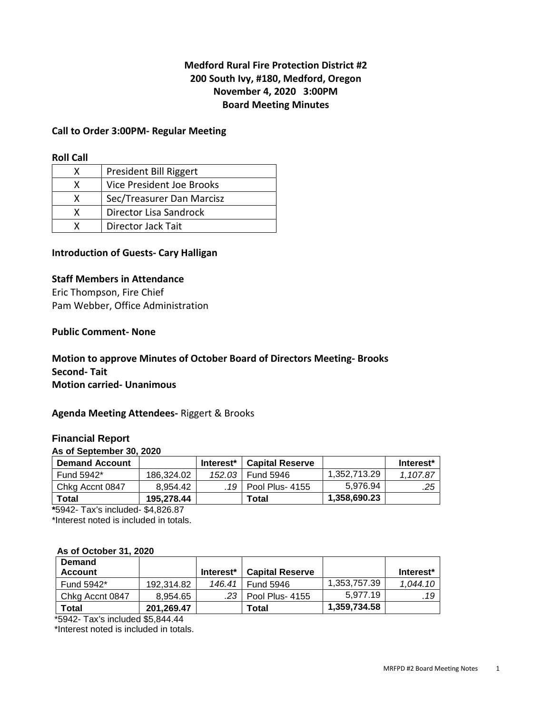## **Medford Rural Fire Protection District #2 200 South Ivy, #180, Medford, Oregon November 4, 2020 3:00PM Board Meeting Minutes**

### **Call to Order 3:00PM- Regular Meeting**

#### **Roll Call**

|   | President Bill Riggert    |
|---|---------------------------|
| x | Vice President Joe Brooks |
| x | Sec/Treasurer Dan Marcisz |
| x | Director Lisa Sandrock    |
|   | Director Jack Tait        |

### **Introduction of Guests- Cary Halligan**

### **Staff Members in Attendance**

Eric Thompson, Fire Chief Pam Webber, Office Administration

### **Public Comment- None**

## **Motion to approve Minutes of October Board of Directors Meeting- Brooks Second- Tait Motion carried- Unanimous**

### **Agenda Meeting Attendees-** Riggert & Brooks

### **Financial Report**

#### **As of September 30, 2020**

| <b>Demand Account</b> |            | Interest* | <b>Capital Reserve</b> |              | Interest* |
|-----------------------|------------|-----------|------------------------|--------------|-----------|
| Fund 5942*            | 186.324.02 | 152.03    | Fund 5946              | 1,352,713.29 | 1.107.87  |
| Chkg Accnt 0847       | 8.954.42   |           | .19   Pool Plus- 4155  | 5.976.94     | .25       |
| Total                 | 195.278.44 |           | Total                  | 1,358,690.23 |           |

**\***5942- Tax's included- \$4,826.87

\*Interest noted is included in totals.

#### **As of October 31, 2020**

| <b>Demand</b>   |            |           |                        |              |                       |
|-----------------|------------|-----------|------------------------|--------------|-----------------------|
| <b>Account</b>  |            | Interest* | <b>Capital Reserve</b> |              | Interest <sup>*</sup> |
| Fund 5942*      | 192.314.82 | 146.41    | <b>Fund 5946</b>       | 1.353.757.39 | 1.044.10              |
| Chkg Accnt 0847 | 8.954.65   |           | .23 Pool Plus- 4155    | 5.977.19     | .19                   |
| Total           | 201.269.47 |           | Total                  | 1,359,734.58 |                       |

\*5942- Tax's included \$5,844.44

\*Interest noted is included in totals.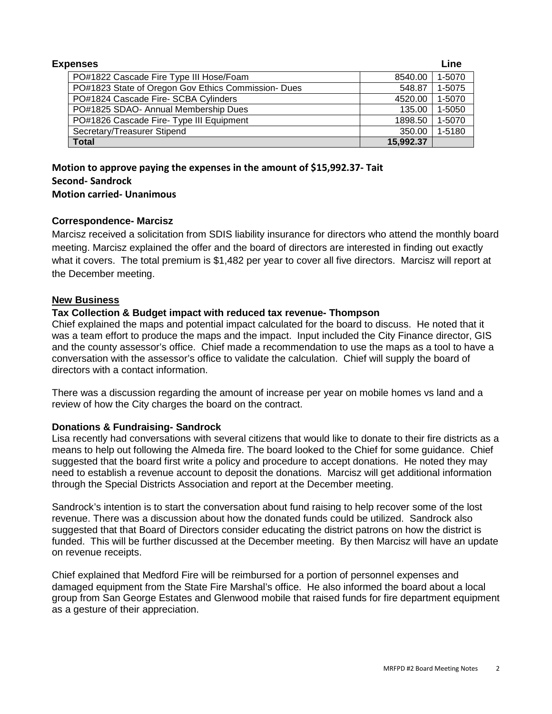| <b>Expenses</b> |                                                     |           | Line   |
|-----------------|-----------------------------------------------------|-----------|--------|
|                 | PO#1822 Cascade Fire Type III Hose/Foam             | 8540.00   | 1-5070 |
|                 | PO#1823 State of Oregon Gov Ethics Commission- Dues | 548.87    | 1-5075 |
|                 | PO#1824 Cascade Fire- SCBA Cylinders                | 4520.00   | 1-5070 |
|                 | PO#1825 SDAO- Annual Membership Dues                | 135.00    | 1-5050 |
|                 | PO#1826 Cascade Fire- Type III Equipment            | 1898.50   | 1-5070 |
|                 | Secretary/Treasurer Stipend                         | 350.00    | 1-5180 |
|                 | <b>Total</b>                                        | 15,992.37 |        |

**Motion to approve paying the expenses in the amount of \$15,992.37- Tait Second- Sandrock Motion carried- Unanimous** 

### **Correspondence- Marcisz**

Marcisz received a solicitation from SDIS liability insurance for directors who attend the monthly board meeting. Marcisz explained the offer and the board of directors are interested in finding out exactly what it covers. The total premium is \$1,482 per year to cover all five directors. Marcisz will report at the December meeting.

### **New Business**

### **Tax Collection & Budget impact with reduced tax revenue- Thompson**

Chief explained the maps and potential impact calculated for the board to discuss. He noted that it was a team effort to produce the maps and the impact. Input included the City Finance director, GIS and the county assessor's office. Chief made a recommendation to use the maps as a tool to have a conversation with the assessor's office to validate the calculation. Chief will supply the board of directors with a contact information.

There was a discussion regarding the amount of increase per year on mobile homes vs land and a review of how the City charges the board on the contract.

### **Donations & Fundraising- Sandrock**

Lisa recently had conversations with several citizens that would like to donate to their fire districts as a means to help out following the Almeda fire. The board looked to the Chief for some guidance. Chief suggested that the board first write a policy and procedure to accept donations. He noted they may need to establish a revenue account to deposit the donations. Marcisz will get additional information through the Special Districts Association and report at the December meeting.

Sandrock's intention is to start the conversation about fund raising to help recover some of the lost revenue. There was a discussion about how the donated funds could be utilized. Sandrock also suggested that that Board of Directors consider educating the district patrons on how the district is funded. This will be further discussed at the December meeting. By then Marcisz will have an update on revenue receipts.

Chief explained that Medford Fire will be reimbursed for a portion of personnel expenses and damaged equipment from the State Fire Marshal's office. He also informed the board about a local group from San George Estates and Glenwood mobile that raised funds for fire department equipment as a gesture of their appreciation.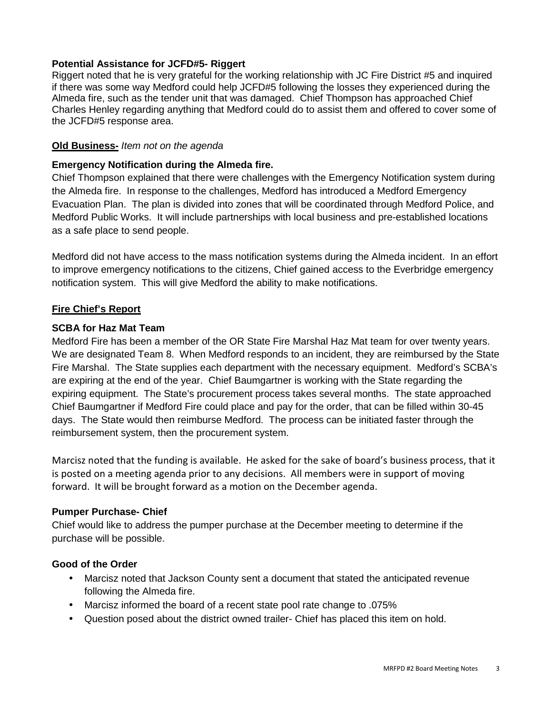### **Potential Assistance for JCFD#5- Riggert**

Riggert noted that he is very grateful for the working relationship with JC Fire District #5 and inquired if there was some way Medford could help JCFD#5 following the losses they experienced during the Almeda fire, such as the tender unit that was damaged. Chief Thompson has approached Chief Charles Henley regarding anything that Medford could do to assist them and offered to cover some of the JCFD#5 response area.

### **Old Business-** Item not on the agenda

### **Emergency Notification during the Almeda fire.**

Chief Thompson explained that there were challenges with the Emergency Notification system during the Almeda fire. In response to the challenges, Medford has introduced a Medford Emergency Evacuation Plan. The plan is divided into zones that will be coordinated through Medford Police, and Medford Public Works. It will include partnerships with local business and pre-established locations as a safe place to send people.

Medford did not have access to the mass notification systems during the Almeda incident. In an effort to improve emergency notifications to the citizens, Chief gained access to the Everbridge emergency notification system. This will give Medford the ability to make notifications.

## **Fire Chief's Report**

## **SCBA for Haz Mat Team**

Medford Fire has been a member of the OR State Fire Marshal Haz Mat team for over twenty years. We are designated Team 8. When Medford responds to an incident, they are reimbursed by the State Fire Marshal. The State supplies each department with the necessary equipment. Medford's SCBA's are expiring at the end of the year. Chief Baumgartner is working with the State regarding the expiring equipment. The State's procurement process takes several months. The state approached Chief Baumgartner if Medford Fire could place and pay for the order, that can be filled within 30-45 days. The State would then reimburse Medford. The process can be initiated faster through the reimbursement system, then the procurement system.

Marcisz noted that the funding is available. He asked for the sake of board's business process, that it is posted on a meeting agenda prior to any decisions. All members were in support of moving forward. It will be brought forward as a motion on the December agenda.

### **Pumper Purchase- Chief**

Chief would like to address the pumper purchase at the December meeting to determine if the purchase will be possible.

### **Good of the Order**

- Marcisz noted that Jackson County sent a document that stated the anticipated revenue following the Almeda fire.
- Marcisz informed the board of a recent state pool rate change to .075%
- Question posed about the district owned trailer- Chief has placed this item on hold.